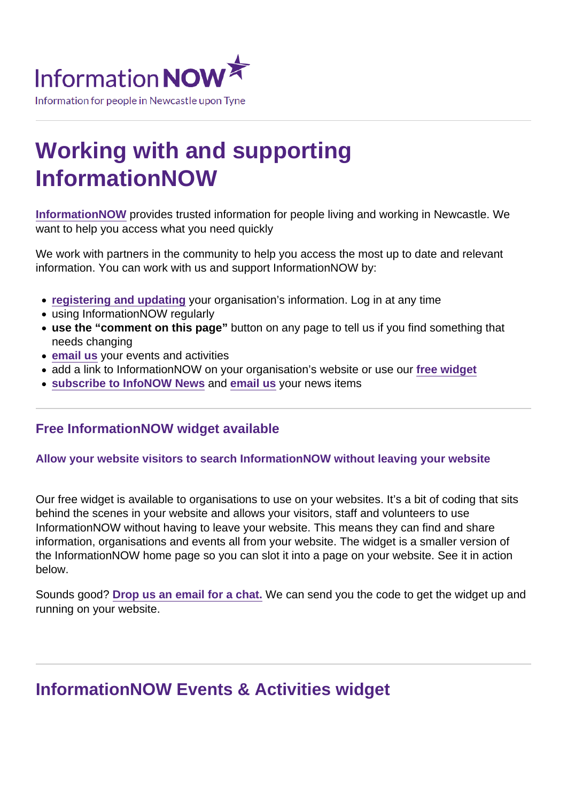# Working with and supporting InformationNOW

[InformationNOW](https://www.informationnow.org.uk/organisation/information-now/) provides trusted information for people living and working in Newcastle. We want to help you access what you need quickly

We work with partners in the community to help you access the most up to date and relevant information. You can work with us and support InformationNOW by:

- [registering and updating](https://www.informationnow.org.uk/login-register/) your organisation's information. Log in at any time
- using InformationNOW regularly
- use the "comment on this page" button on any page to tell us if you find something that needs changing
- [email us](/var/www/vhosts/informationnow.org.uk/httpdocs/wp-content/themes/infonow/pdf/email:informationnow@newcastle.gov.uk) your events and activities
- add a link to InformationNOW on your organisation's website or use our free widget
- [subscribe to InfoNOW News](https://www.informationnow.org.uk/news/) and [email us](mailto:informationnow@newcastle.gov.uk) your news items

#### Free InformationNOW widget available

#### Allow your website visitors to search InformationNOW without leaving your website

Our free widget is available to organisations to use on your websites. It's a bit of coding that sits behind the scenes in your website and allows your visitors, staff and volunteers to use InformationNOW without having to leave your website. This means they can find and share information, organisations and events all from your website. The widget is a smaller version of the InformationNOW home page so you can slot it into a page on your website. See it in action below.

Sounds good? [Drop us an email for a chat.](mailto:InformationNOW@newcastle.gov.uk?subject=InformationNOW widget) We can send you the code to get the widget up and running on your website.

### InformationNOW Events & Activities widget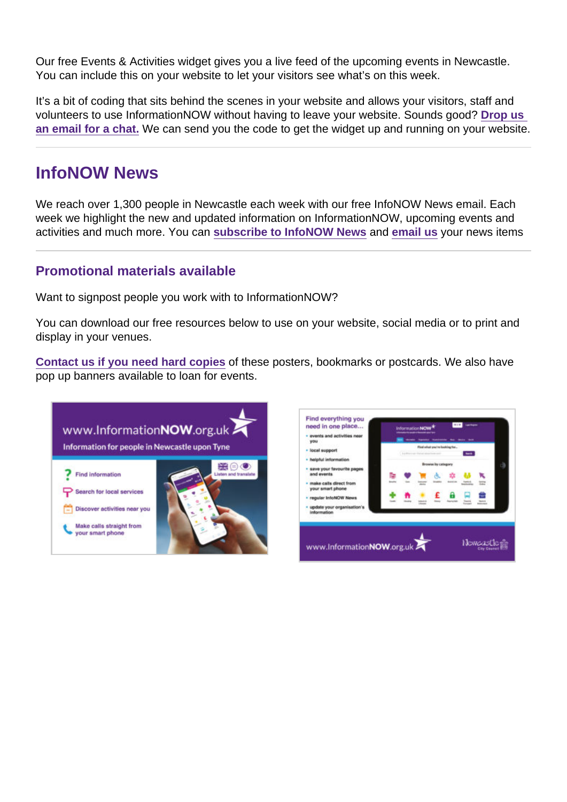Our free Events & Activities widget gives you a live feed of the upcoming events in Newcastle. You can include this on your website to let your visitors see what's on this week.

It's a bit of coding that sits behind the scenes in your website and allows your visitors, staff and volunteers to use InformationNOW without having to leave your website. Sounds good? [Drop us](mailto:InformationNOW@newcastle.gov.uk?subject=InformationNOW widget)  [an email for a chat.](mailto:InformationNOW@newcastle.gov.uk?subject=InformationNOW widget) We can send you the code to get the widget up and running on your website.

### InfoNOW News

We reach over 1,300 people in Newcastle each week with our free InfoNOW News email. Each week we highlight the new and updated information on InformationNOW, upcoming events and activities and much more. You can [subscribe to InfoNOW News](https://www.informationnow.org.uk/news/) and [email us](mailto:informationnow@newcastle.gov.uk) your news items

#### Promotional materials available

Want to signpost people you work with to InformationNOW?

You can download our free resources below to use on your website, social media or to print and display in your venues.

[Contact us if you need hard copies](mailto:InformationNOW@newcastle.gov.uk) of these posters, bookmarks or postcards. We also have pop up banners available to loan for events.